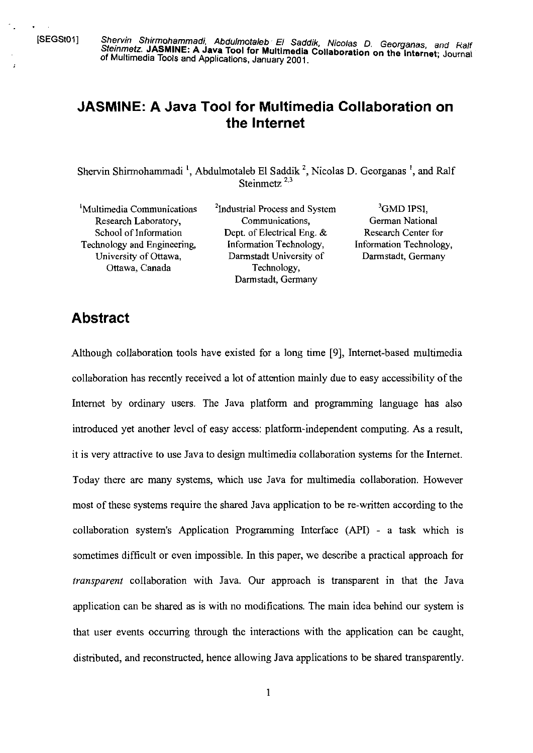[SEGSt01] Shervin Shirmohammadi, Abdulmotaleb El Saddik, Nicolas D. Georganas, and Ralf<br>Steinmetz. JASMINE: A Java Tool for Multimedia Collaboration on the Internet; Journal of Multimedia Tools and Applications, January 2001.

# **JASMINE: A Java Tool for Multimedia Collaboration on the lnternet**

Shervin Shirmohammadi<sup>1</sup>, Abdulmotaleb El Saddik<sup>2</sup>, Nicolas D. Georganas<sup>1</sup>, and Ralf Steinmetz $^{2,3}$ 

Technology and Engineering, Information Technology, Information Technology, Information Technology, Information Technology, Information Technology, Information Technology, Intervalse University of Darmstadt, Germany

<sup>1</sup>Multimedia Communications <sup>2</sup>Industrial Process and System <sup>3</sup>GMD IPSI,<br>Research Laboratory, Communications, German National Research Laboratory, Communications, German National<br>School of Information Dept. of Electrical Eng. & Research Center for Dept. of Electrical Eng. & Research Center for<br>Information Technology. Information Technology. Darmstadt University of Ottawa, Canada Technology, Darmstadt, Germany

## **Abstract**

Although collaboration tools have existed for a long time [9], Internet-based multimedia collaboration has recently received a lot of attention mainly due to easy accessibiliiy of the Internet by ordinary Users. The Java platform and programming language has also introduced yet another level of easy access: platform-independent computing. As a result, it is very attractive to use Java to design multimedia collaboration systems for the Internet. Today there are many systems, which use Java for multimedia collaboration. However most of these systems require the shared Java application to be re-wntten according to the collaboration system's Application Programming Interface (API) - a task which is sometimes difficult or even impossible. In this paper, we describe a practical approach for *trunspurent* collaboration with Java. Our approach is transparent in that the Java application can be shared as is with no modifications. The main idea behind our system is that user events occurring through the interactions with the application can be caught, distributed, and reconstructed, hence allowing Java applications to be shared transparently.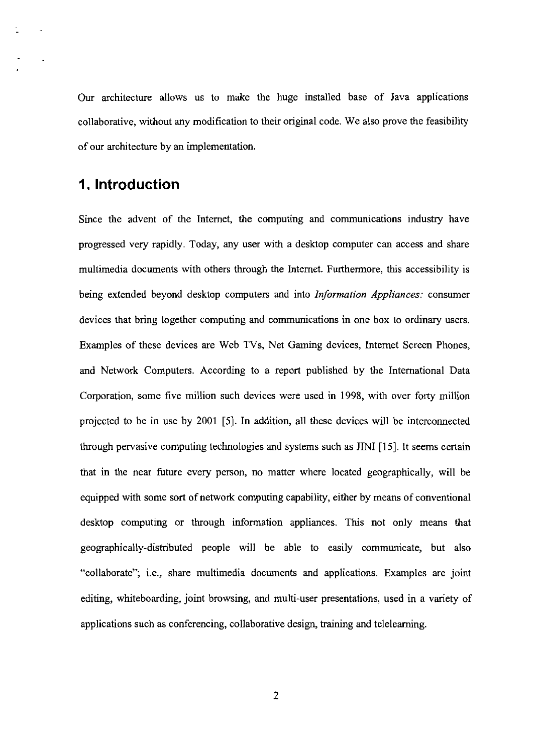Our architecture allows us to make the huge installed base of Java applications collaborative, without any modification to their original code. We also prove the feasibility of our architecture by an implementation.

## **1. lntroduction**

Since the advent of the Intemet, the computing and communications industry have progressed very rapidly. Today, any User with **a** desktop Computer can access and share multimedia documents with others through the Intemet. Furthennore, this accessibility is being extended beyond desktop Computers and into *Information Appliances:* consumer devices that bring together computing and communications in one box to ordinary users. Examples of these devices are Web TVs, Net Gaming devices, Intemet Screen Phones, and Network Computers. According to a report published by the International Data Corporation, some five million such devices were used in 1998, with over forty million projected to be in use by 2001 [5]. In addition, all these devices will be interconnected through pervasive computing technologies and Systems such as JINI [15]. It seems certain that in the near future every Person, no matter where located geographically, will be equipped with some sort of network computing capability, either by means of conventional desktop computing or through information appliances. This not only means that geographically-distributed people will be able to easily communicate, but also "collaborate"; i.e., share multimedia documents and applications. Examples are joint editing, whiteboarding, joint browsing, and multi-user presentations, used in a variety of applications such as conferencing, collaborative design, training and telelearning.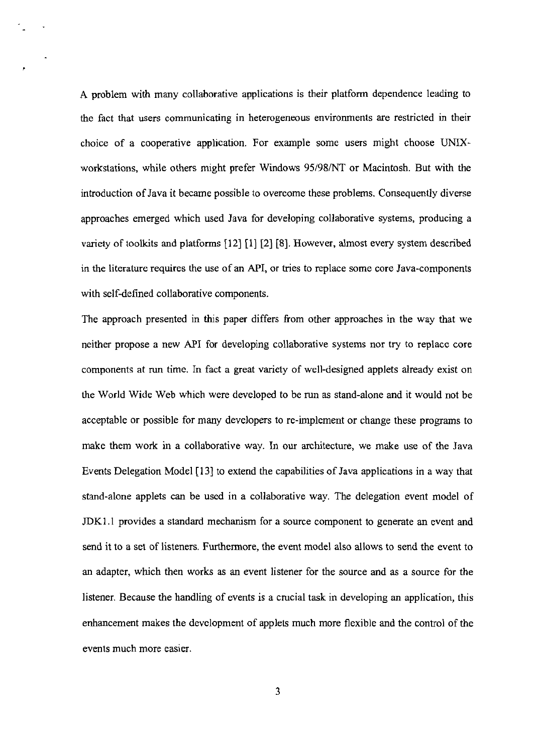**A** problem with many collaborative applications is their platform dependence leading to the fact that users communicating in heterogeneous environments are restricted in their choice of a cooperative application. For example some users might choose UNIXworkstations, while others might prefer Windows 95198MT or Macintosh. But with the introduction of Java it became possible to overcome these problems. Consequently diverse approaches emerged which used Java for developing collaborative systems, producing a variety of toolkits and platforms [12] [I] [2] [8]. However, almost every System described in the literature requires the use of an **NI,** or tries to replace some core Java-components with self-defined collaborative components.

The approach presented in this paper differs ftom other approaches in the way that we neither propose a new API for developing collaborative systems nor try to replacc core components at run time. In fact a great varieiy of well-designed applets already exist on the World Wide Web which were developed to be run as stand-alone and it would not be acceptable or possible for many developers to re-implement or change these programs to make them work in a collaborative way. In our architecture, we make use of the Java Events Delegation Model [13] to extend the capabilities of Java applications in a way that stand-alone applets can be used in a collaborative way. The delegation event model of JDKl. I provides a standard mechanism for a source component to generate an event and send it to a Set of listeners. Furthermore, the event model also allows to send the event to an adapter, which then works **as** an event listener for the source and as a source for the listener. Because the handling of events is a cmcial task in developing an application, this enhancement makes the devclopment of applets much more flexible and the control of the events much more easier.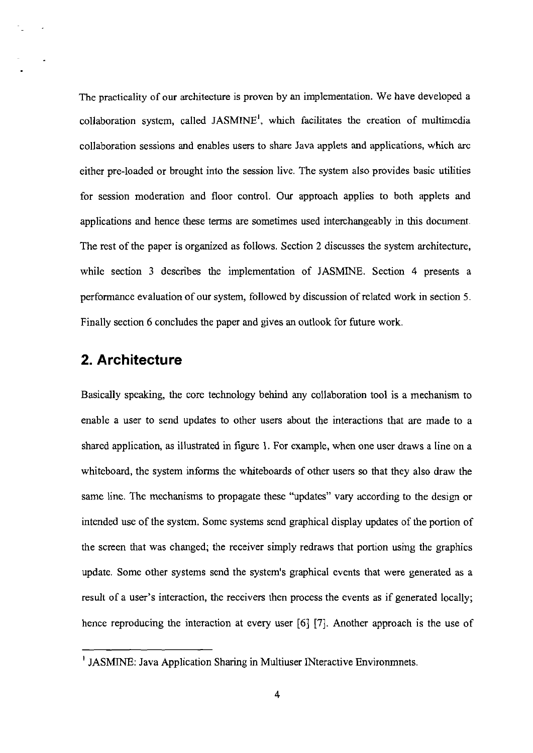The practicality of our architecture is proven by an implementation. We have developed a collaboration system, called JASMINE', which facilitates the creation of multimedia collaboration sessions and enables users to share Java applets and applications, which arc either pre-loaded or brought into the session live. The system also provides basic utilities for session moderation and floor control. Our approach applies to both applets and applications and hence these terms are sometimes used interchangeably in this document. The rest of the paper is organized as follows. Section 2 discusses the system architecture, while section 3 describes the implementation of JASMINE. Section 4 presents a perfomance evaluation of our system, followed by discussion of related work in section 5. Finally section 6 concludes the paper and gives **an** outlook for future work.

## **2. Architecture**

Basically speaking, the core technology behind any collaboration tool is a mechanism to enable a User to send updates to other users about the interactions that are made to a shared application, as illustrated in figure 1. For example, when one user draws a line on a whiteboard, the system informs the whiteboards of other users so that they also draw the same line. The mechanisms to propagate these "updates" vary according to the design or intended use of the system. Some systems send graphical display updates of the portion of the screen that was changed; the receiver simply redraws that portion usmg the graphics update. Some other systems send the system's graphical events that were generated as a result of a user's interaction, the receivers then process the events as if generated locally; hence reproducing the interaction at every user [6] [7]. Another approach is the use of

<sup>&</sup>lt;sup>1</sup> JASMINE: Java Application Sharing in Multiuser INteractive Environmnets.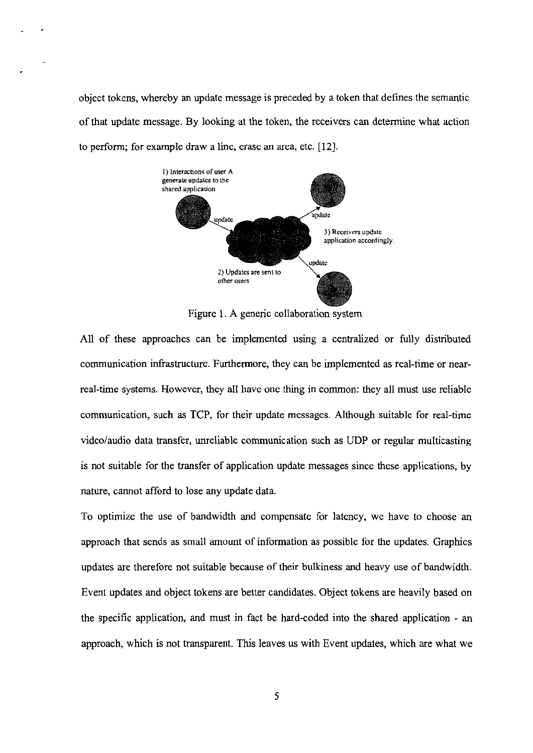object tokens, whereby an update message is preceded by a token that defines the semantic of that update message. By lookig at the token, the receivers can determine what action to perforrn; for example draw a line, erase an area, elc. **[12],** 



Figure 1. A generic collaboration system

All of these approaches can be implemented using a centralized or fully distributed communication infrastructure. Furthermore, they can be implemented as real-time or nearreal-time Systems. Howevcr, they all have one thing in common: they all must use reliable communication, such as TCP, for their update messages. Although suitable for real-time video/audio data transfer, unreliable communication such as UDP or regular multicasting is not suitable for the transfer of application update messages since these applications, by nature, cannot afford to lose any update data.

To optimize the use of bandwidth and compensate for latency, we have to choose an approach that sends **as** small amount of information as possible for the updates. Graphics updates are therefore not suitable because of their bulkiness and heavy use of bandwidth. Event updates and object tokens are better candidates. Object tokens are heavily based on the specific application, and must in fact be hard-coded into the shared application - an approach, which is not transparent. This leaves us with Event updates, which are what we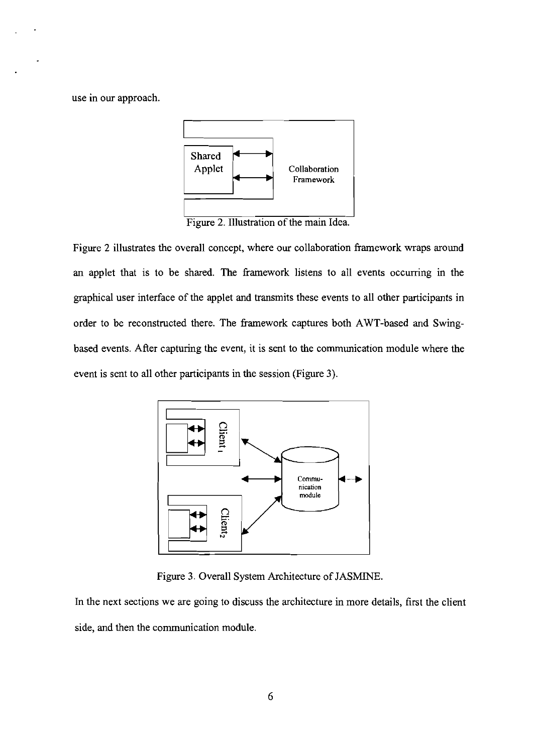use in our approach.



Figure *2* illustrates the overall concept, where our collaboration framework wraps around an applet that is to be shared. The framework listens to all events occurring in the graphical User interface of the applet and transmits these events to all other participants in order to **be** reconstructed there. The framework captures both AWT-based and Swingbased events. After capturing the event, it is sent to the communication module where the event is sent to all other participants in the session (Figure 3).



Figure 3. Overall System Architecture of JASMINE.

In the next sections we are going to discuss the architecture in more details, first the client side, and then the communication module.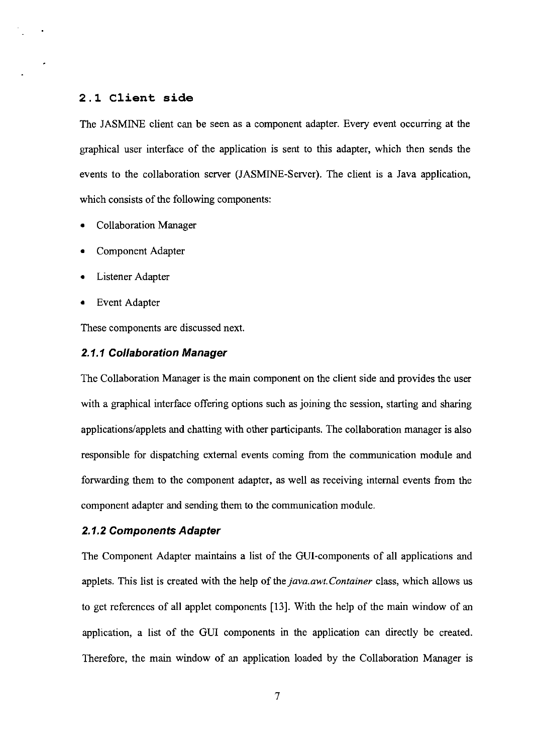#### 2.1 **Client side**

The JASMINE client can be seen as a component adapter. Every event occurring at the graphical User interface of the application is sent to this adapter, which then sends the events to the collaboration server (JASMINE-Server). The client is a Java application, which consists of the following components:

- Collaboration Manager
- Component Adapter
- Listener Adapter
- Event Adapter

These components are discussed next.

#### 2. I. I **Collaboration Manager**

The Collaboration Manager is the main component on the client side and provides the user with a graphical interface offering options such as joining the session, starting and sharing applications/applets and chatting with other participants. The collaboration manager is also responsible for dispatching extemal events coming from the communication module and forwarding them to the component adapter, as well as receiving internal events from the component adapter and sending them to the communication module.

#### 2.1.2 **Components Adapter**

The Component Adapter maintains a list of the GUI-components of all applications and applets. This list is created with the help of the **java.awt.Container** class, which allows us to get references of all applet components **[13].** With the help of the main window of an application, a list of the GUI components in the application can directly be created. Therefore, the main window of an application loaded by the Collaboration Manager is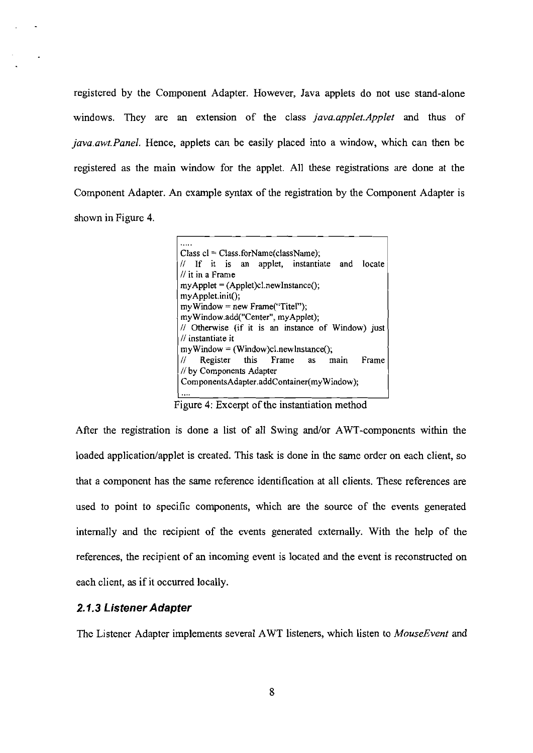registered by the Component Adapter. However, Java applets do not use stand-alone windows. They are an extension of the class *java.applet.Applet* and thus of *java.awt.Pane1.* Hence, applets can be easily placed into a window, which can then be registered as the main window for the applet. All these registrations are done at the Component Adapter. **An** example Syntax of the registration by the Component Adapter is shown in Figure 4.

> ..... Class CI = **Class.forName(c1assNarne);**   $11$  If it is an applet, instantiate and locate  $11$  it in a Frame myApplet = **(Applet)cl.newInstance();**  myApplet.init();  $my Window = new Frame("Title"$ ; myWindow.add("Center", myApplet);  $11$  Otherwise (if it is an instance of Window) just  $//$  instantiate it myWindow = **(Window)cl.newlnstance();**  11 Register this Frame as main Frame I/ by Components Adapter **ComponentsAdapter.addContainer(myWindow);**  ....

Figure 4: Excerpt of the instantiation method

After the registration is done a list of all Swing and/or AWT-components within the loaded application/applet is created. This task is done in the same order on each client, so that a component has the Same reference identification at all clients. These references are used to point to specific components, which are the source of the events generated intemally and the recipient of the events generated extemally. With the help of the references, the recipient of an incoming event is located and the event is reconstmcted on each client, **as** if it occurred locally.

### **2.1.3 Listener Adapter**

The Listener Adapter implements several AWT listeners, which listen to *MouseEvent* and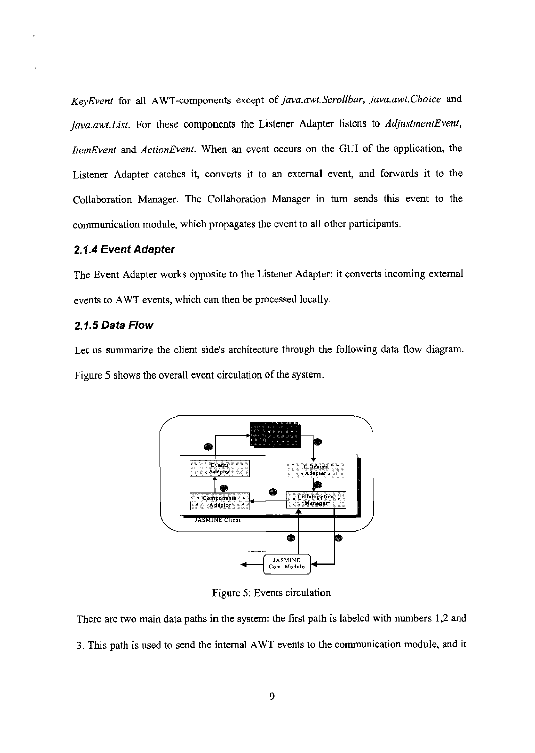*KeyEvent* for all AWT-components except of *java.awt.Scrollbar, java.awt.Choice* and *java.awt.List.* For these components the Listener Adapter listens to *AdjustmentEvent, ZteinEvent* and *ActionEvent.* When an event occurs on the GUI of the application, the Listener Adapter catches it, converts it to an external event, and fonvards it to the Collaboration Manager. The Collaboration Manager in **turn** sends this event to the communication module, which propagates the event to all other participants.

### **2.1.4 Event Adapter**

The Event Adapter works opposite to the Listener Adapter: it converts incoming extemal events to AWT events, which can then be processed locally.

### **2.1.5 Data Flow**

Let us summarize the client side's architecture through the following data flow diagram. Figure 5 shows the overall event circulation of the system.



Figure 5: Events circulation

There are two main data paths in the system: the first path is labeled with numbers 1,2 and **3.** This path is used to send the intemal AWT events to the communication module, and it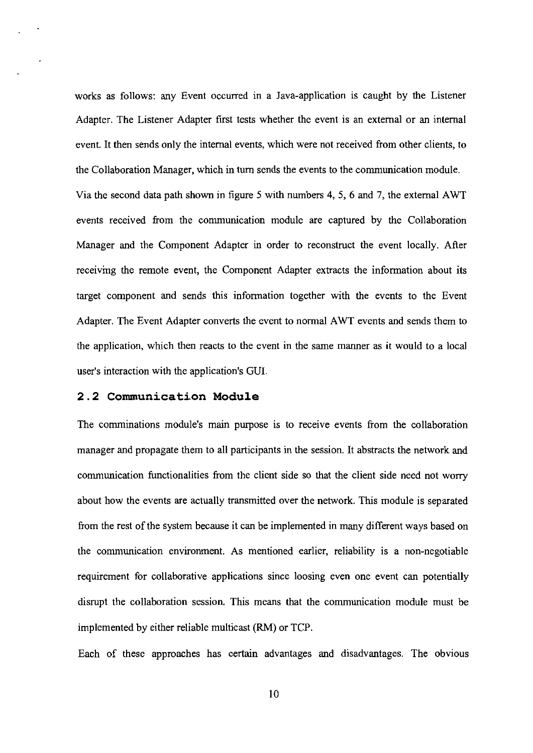works as follows: any Event occurred in a Java-application is caught by the Listener Adapter. The Listener Adapter first tests whether the event is an extemal or an intemal event. It then sends only the intemal events, which were not received from other clients, to the Collaboration Manager, which in turn sends the events to the communication module. Via the second data path shown in figure 5 with numbers 4, 5, 6 and 7, the extemal AWT events received from the communication module are captured by the Collaboration

Manager and the Component Adapter in order to reconstruct the event locally. Afler receivmg the remote event, the Component Adapter extracts the information about its target component and sends this information together with the events to the Event Adapter. The Event Adapter converts the event to normal AWT events and sends them to the application, which then reacts to the event in the Same manner as it would to a local user's interaction with the application's GUI.

#### 2.2 **Communication Module**

The comminations module's main purpose is to receive events fiom the collaboration manager and propagate them to all participants in the session. It abstracts the network and communication functionalities from the client side so that the client side need not wony about how the events are actually transmitted over the network. This module is separated fiom the rest of the System because it can be implemented in many different ways based on the communication environment. As mentioned earlier, reliability is a non-negotiable requirement for collaborative applications since loosing even one event can potentially disrupt the collaboration session. This means that the communication module must be implemented by either reliable multicast (RM) or TCP.

Each of these approaches has certain advantages and disadvantages. The obvious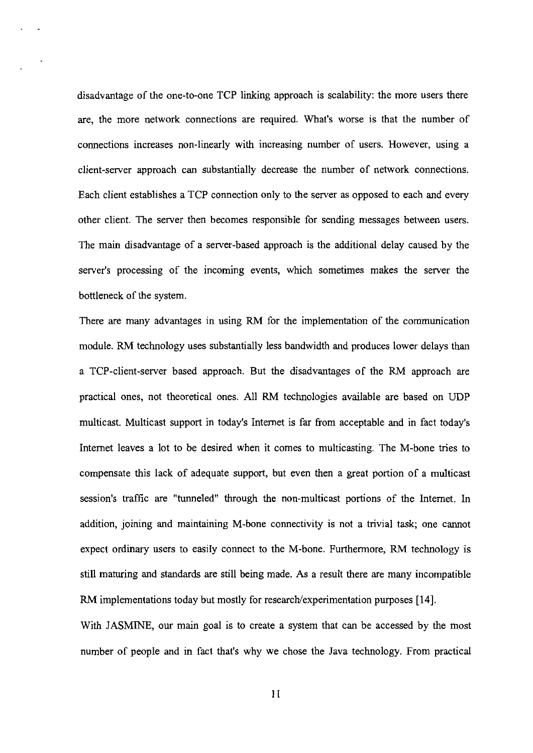disadvantage of the one-to-one TCP linking approach is scalability: the more users there are, the more network comections are required. What's worse is that the number of connections increases non-linearly with increasing number of users. However, using a client-server approach can substantially decrease the number of network connections. Each client establishes a TCP comection only to the server as opposed to each and every other client. The server then becomes responsible for sending messages between users. The main disadvantage of a server-based approach is the additional delay caused by the server's processing of the incoming events, which sometimes makes the server the bottleneck of the system.

There are many advantages in using RM for the implementation of the communication module. RM technology uses substantially less bandwidth and produces lower delays than a TCP-client-sewer based approach. But the disadvantages of the RM approach are practical ones, not theoretical ones. All RM technologies available are based on UDP multicast. Multicast support in today's Intemet is far from acceptable and in fact today's Internet leaves a lot to be desired when it comes to multicasting. The M-bone tries to compensate this lack of adequate support, but even then a great portion of a multicast session's traffic are "tunneled" through the non-multicast portions of the Internet. In addition, joining and maintaining M-bone connectivity is not a trivial task; one cannot expect ordinary users to easily connect to the M-bone. Furthermore, RM technology is still maturing and standards are still being made. As a result there are many incompatible RM implementations today but mostly for research/experimentation purposes [14].

With JASMINE, our main goal is to create a system that can be accessed by the most number of people and in fact that's why we chose the Java technology. From practical

 $11$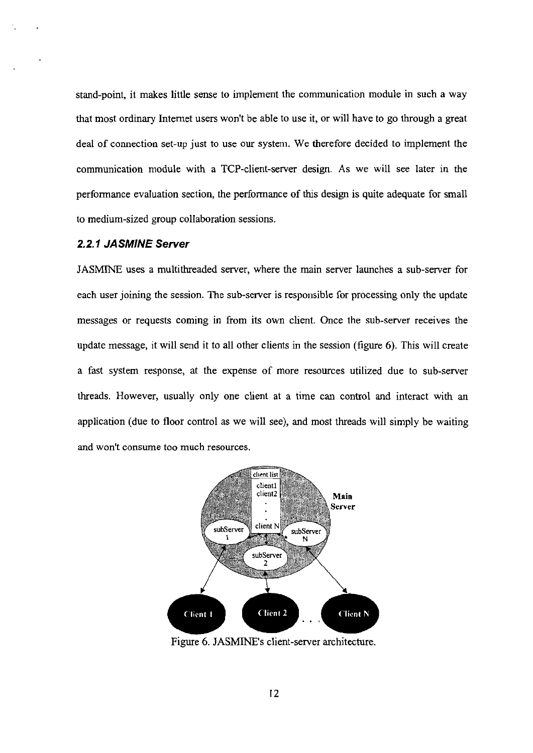stand-point, it makes little sense to implement the communication module in such a way that most ordinary Intemet Users won't be able to use it, or will have to go through a great deal of comection set-up just to use our system. We therefore decided to implement the communication module with a TCP-client-server design. As we will see later in the performance evaluation section, the performance of this design is quite adequate for small to medium-sized group collaboration sessions.

### **2.2.1 JASMINE Server**

JASMINE uses a multithreaded server, where the main server launches a sub-server for each user joining the session. The sub-server is responsible for processing only the update messages or requests coming in from its own client. Once the sub-server receives the update message, it will send it to all other clients in the session (figure *6).* This will create a fast system response, at the expense of more resources utilized due to sub-server threads. However, usually only one client at a time can control and interact with an application (due to floor control as we will see), and most threads will simply be waiting and won't consume too much resources.

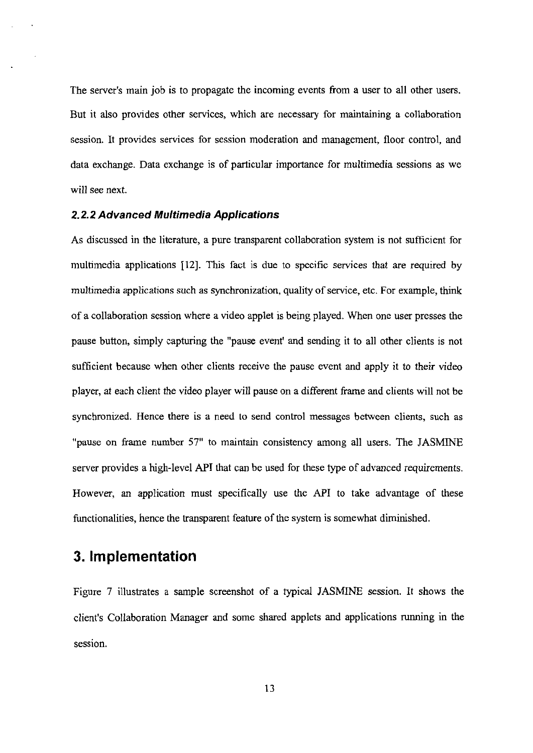will see next. data exchange. Data exchange is of particular importance for multimedia sessions as we session. It provides services for session moderation and management, floor control, and But it also provides other services, which are necessary for maintaining a collaboration The server's main job is to propagate the incoming events from a user to all other users.

### **2.2.2 Advanced Multimedia Applications**

functionalities, hence the transparent feature of the system is somewhat diminished. However, an application must specifically use the API to take advantage of these server provides a high-level API that can be used for these type of advanced requirements. "pause on frame number 57" to maintain consistency among all users. The JASMINE synchronized. Hence there is a need to send control messages between clients, such as player, at each client the video player will pause on a different frame and clients will not be sufficient because when other clients receive the pause event and apply it to their video pause button, simply capturing the "pause event' and sending it to all other clients is not of a collaboration session where a video applet is being played. When one user presses the multimedia applications such as synchronization, quality of service, etc. For example, think multimedia applications [12]. This fact is due to specific services that are required by As discussed in the literature, a pure transparent collaboration system is not sufficient for

## 3. Implementation

Figure 7 illustrates a sample screenshot of a typical JASMINE session. It shows the client's Collaboration Manager and some shared applets and applications running in the session.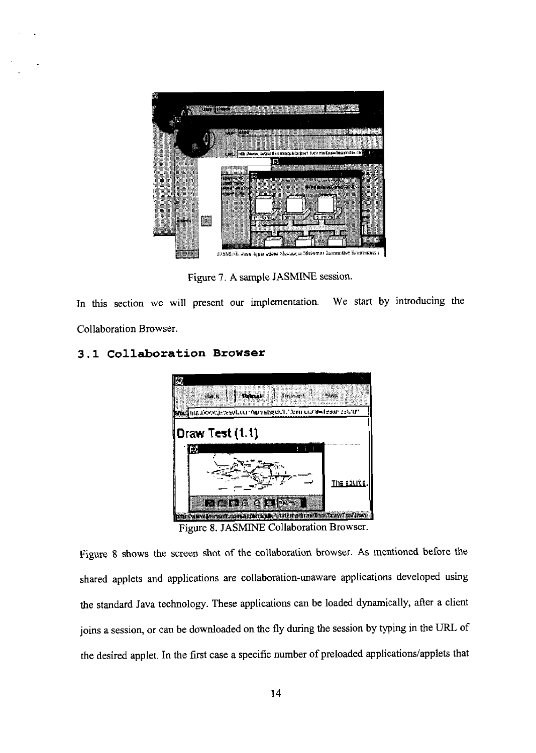

Figure 7. A sample JASMINE session.

In this section we will present our implementation. We start by introducing the Collaboration Browser.

## 3.1 Collaboration Browser



Figure 8. JASMINE Collaboration Browser.

Figure 8 shows the screen shot of the collaboration browser. As mentioned before the shared applets and applications are collaboration-unaware applications developed using the standard Java technology. These applications can be loaded dynamically, after a client joins a session, or can be downloaded on the fly during the session by typing in the URL of the desired applet. In the first case a specific number of preloaded applications/applets that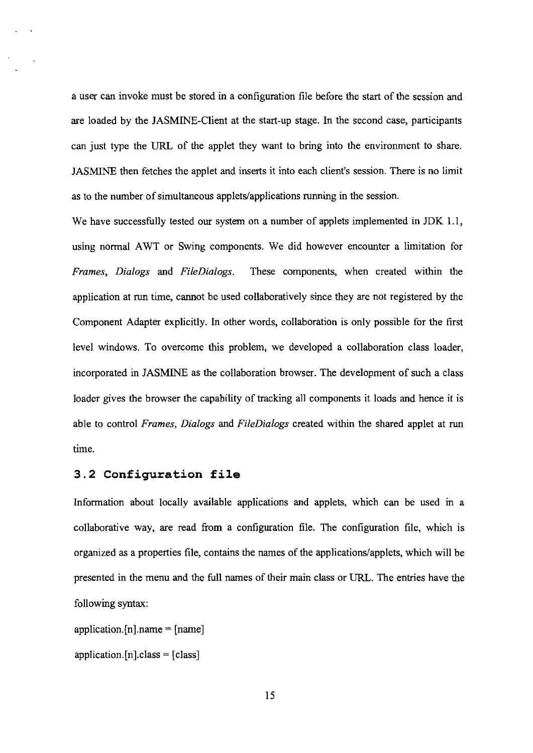a User can invoke must be stored in a configuration file before the start of the session and are loaded by the JASMINE-Client at the start-up Stage. In the second case, participants can just type the URL of the applet they want to bring into the environment to Share. JASMINE then fetches the applet and inserts it into each client's session. There is no limit as to the number of simultaneous applets/applications running in the session.

We have successfully tested our system on a number of applets implemented in JDK 1.1, using normal AWT or Swing components. We did however encounter a limitation for *Frames, Dialogs* and *FileDialogs.* These components, when created within the application at run time, cannot be used collaboratively since they are not registered by the Component Adapter explicitly. In other words, collaboration is only possible for the first level windows. To overcome this problem, we developed a collaboration class loader, incorporated in JASMINE as the collaboration browser. The development of such a class loader gives the browser the capability of tracking all components it loads and hence it is able to control *Frames, Dialogs* and *FileDialogs* created within the shared applet at run time.

#### 3.2 **Configuration file**

Information about locally available applications **and** applets, which can be used in a collaborative way, are read from a configuration file. The configuration file, which is organized **as** a properties file, contains the names of the applicationslapplets, which will be presented in the menu and the full names of their main class or URL. The entries have the following syntax:

application. $[n]$ .name =  $[name]$ 

application. $[n]$ .class =  $[class]$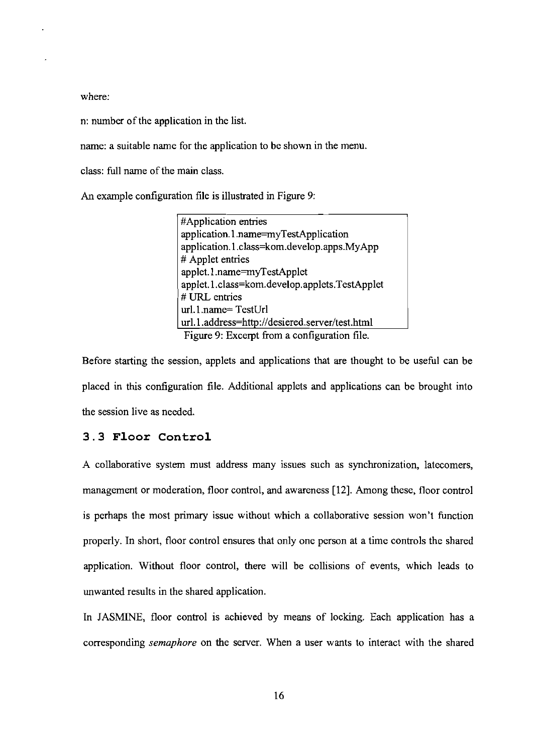where:

n: number of the application in the list.

name: a suitable name for the application to be shown in the menu.

class: full name of the main class.

An example configuration file is illustrated in Figure 9:

#Application entries application. 1 .name=myTestApplication application. 1 **.class=kom.develop.apps.MyApp**  # Applet entries applet. 1 .name=rnyTestApplet applet. 1 **.class=kom.develop.applets.TestApplet**   $#$  URL entries url. 1 .name= TestUrl url.1.address=http://desiered.server/test.html Figure 9: Excerpt from a configuration file.

Before starting the session, applets and applications that are thought to be useful can be placed in this configuration file. Additional applets and applications can be brought into the session live as needed.

### 3.3 Floor Control

A collaborative System must address many issues such as synchronization, latecomers, management or moderation, floor control, and awareness **[12].** Arnong these, floor control is perhaps the most primary issue without which a collaborative session won't function properly. In short, floor control ensures that only one person at a time controls the shared application. Without floor control, there will be collisions of events, which leads to unwanted results in the shared application.

In JASMINE, floor control is achieved by means of locking. Each application has a corresponding *semaphore* on the server. When a user wants to interact with the shared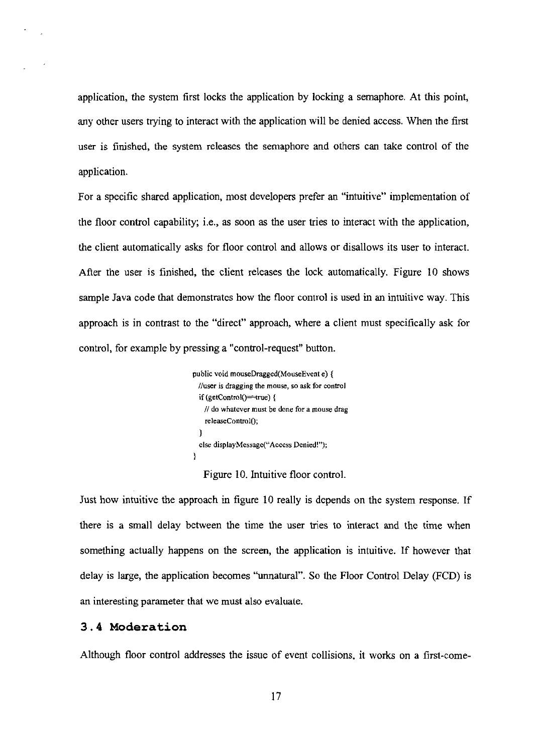application, the system first locks the application by locking a semaphore. At this point, any other users trying to interact with the application will be denied access. When the first User is finished, the system releases the semaphore and others can take control of the application.

For a specific shared application, most developers prefer an "intuitive" implementation of the floor control capability; i.e., as soon as the User tries to interact with the application, the client automatically asks for floor control and allows or disallows its user to interact. After the user is finished, the client releases the lock automatically. Figure 10 shows sample Java code that demonstratcs how the floor control is used in an intuitive way. This approach is in contrast to the "direct" approach, where a client must specifically ask for control, for example by pressing a "control-request" button,

```
public void mouseDragged(MouseEvent e) ( 
  Iluser is dragging the rnouse, so ask for control 
  if (getControl()=mie) ( 
    I/ do whatever must be done for a mouse drag 
   releaseControl0; 
  ) 
  eise displayMessage("Aceess Denied!"); 
Ι.
```
Figure 10. Intuitive floor control.

Just how intuitive the approach in figure 10 really is depends on the system response. If there is a small delay between the time the user tries to interact and the time when something actually happens on the screen, the application is intuitive. If however that delay is large, the application becomes "unnatural". So the Floor Control Delay (FCD) is an interesting parameter that we must also evaluaie.

### **3.4 Moderation**

Although floor control addresses the issue of event collisions, it works on a first-come-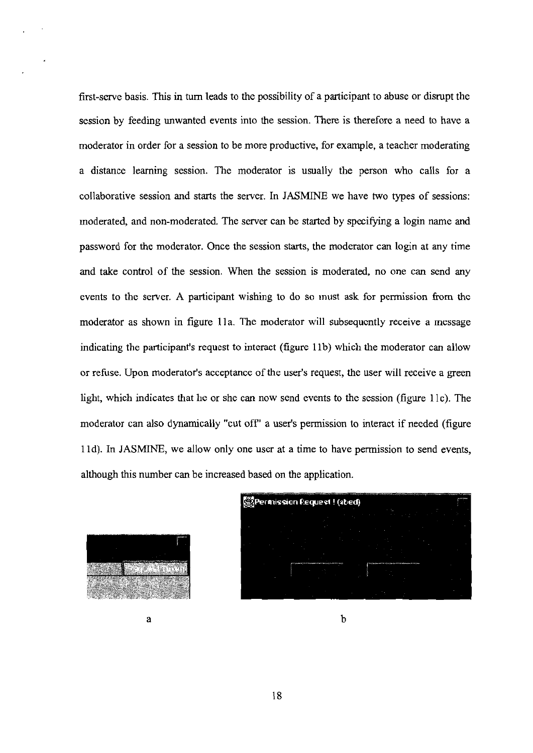first-serve basis. Tbis in **turn leads** to the possibility of a participant to abuse or disrupt the session by feeding unwanted events into the session. There is therefore a need to have a moderator in order for a session to be more productive, for example, a teacher moderating a distance learning session. The moderator is usually the person who calls for a collaborative session and starts the server. In JASMINE we have two types of sessions: moderated, and non-moderated. The server can be started by specifying a login name and password for the moderator. Once the session starts, the moderator can login at any time and take control of the session. When the session is moderated, no one can send any events to the server. A participant wishing to do so inust **ask** for permission from thc moderator as shown in figure 11a. The moderator will subsequently receive a message indicating the participant's request to interact (figure llb) which the moderator can allow or refuse. Upon moderator's acceptance of the user's request, the User will receive a green light, which indicates that he or she can now send events to the session (figure  $11c$ ). The moderator can also dynamically "cut off" a user's permission to interact if needed (figure 1 ld). In **JASMNE,** we allow only one User at a time to have permission to send events, although this number can be increased based on the application.



|  | Permission Request ! (abed) |                                                                                |                                                                                          |  |
|--|-----------------------------|--------------------------------------------------------------------------------|------------------------------------------------------------------------------------------|--|
|  |                             |                                                                                |                                                                                          |  |
|  |                             |                                                                                |                                                                                          |  |
|  |                             |                                                                                |                                                                                          |  |
|  |                             |                                                                                |                                                                                          |  |
|  |                             |                                                                                |                                                                                          |  |
|  |                             |                                                                                |                                                                                          |  |
|  |                             | the proposal of the MC MC of an amount of the C information on the McGrangers. | The substitute condition of the substitute can enter the substitute on the substitute of |  |
|  |                             |                                                                                |                                                                                          |  |
|  |                             |                                                                                |                                                                                          |  |
|  |                             |                                                                                |                                                                                          |  |
|  |                             |                                                                                |                                                                                          |  |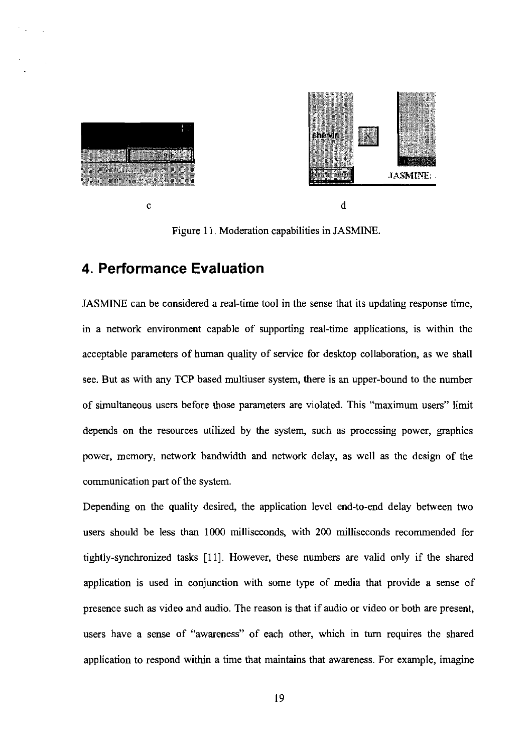

 $\ddot{\textbf{C}}$ 

shervin in ka mita **JASMINE:** 



Figure 11. Moderation capabilities in **JASMINE.** 

# **4. Performance Evaluation**

**JASMINE** can be considered a real-time tool in the sense that its updating response time, in a network environment capable of supporting real-time applications, is within the acceptable parameters of human quality of service for desktop collaboration, as we shall see. But **as** with any TCP based multiuser system, there is an upper-bound to the number of sirnultaneous users before those Parameters are violated. This "maximum users" limit depends on the resources utilized by the system, such as processing power, graphics power, memory, network bandwidth and network delay, as well as the design of the communication part of the system.

Depending on the quality desired, the application level end-to-end delay between two users should be less than 1000 milliseconds, with 200 milliseconds recommended for tightly-synchronized tasks [ll]. However, these numbers are valid only if the shared application **is** used in conjunction with some type of media that provide a sense of presence such as video and audio. The reason is that if audio or video or both are present, users have a sense of "awareness" of each other, which in turn requires the shared application to respond within a time that maintains that awareness. For example, imagine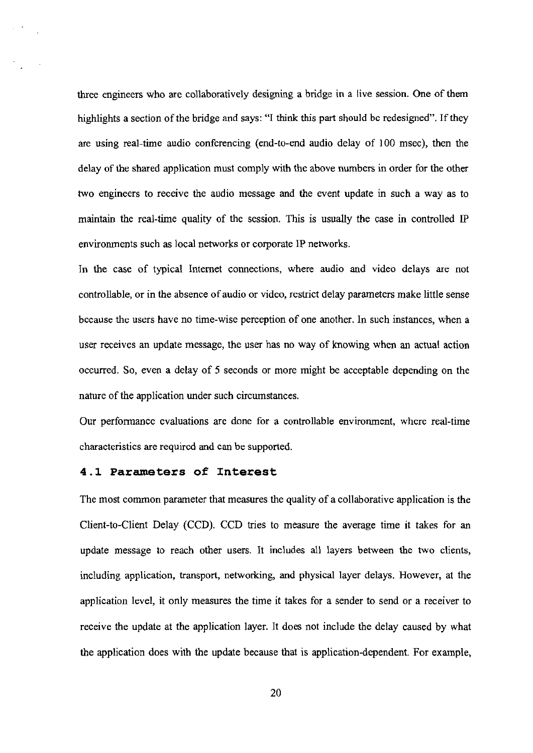three engineers who are collaboratively designing a bridge in a live session. One of them highlights a section of the bridge and says: "I think this part should be redesigned". If they **are** using real-time audio confcrencing (end-to-end audio delay of 100 msec), then the delay of the shared application must comply with the above numbers in order for the other two engineers to receive the audio message and the event update in such a way as to maintain the real-time quality of the session. This is usually the case in controlled IP environments such as local networks or corporate IP networks.

In the case of typical Internet connections, where audio and video delays are not controllable, or in the absence of audio or video, restrict delay parameters make little sense bccause the users have no time-wise perception of one another. In such instances, when a user receives an update message, the user has no way of knowing when an actual action occurred. So, even a delay of 5 seconds or more might be acceptable depending on the nature of the application under such circumstances.

Our perfonnance evaluations are done for a controllable environment, where real-time charactenstics are requircd and can be supported.

### 4.1 **Parameters** of **Interest**

The most common parameter that measures the quality of a collaborative application is the Client-to-Client Delay (CCD). CCD tries to measure the average time it takes for an update message to reach other users. It includes all layers between the two clients, including application, transport, networking, and physical layer delays. However, at the application level, it only measures the time it takes for a sender to send or a receiver to receive the update at the application layer. It does not include the delay caused by what the application does with the update because that is application-dependent. For example,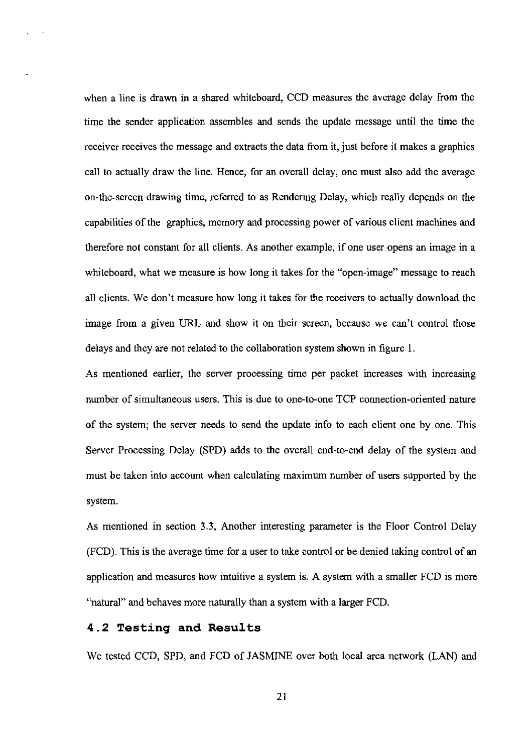when a line is drawn in a shared whiteboard, CCD measures the average delay from the time the sender application assembles and sends the update message until the time the receiver receives the message and extracts the data from it, just before it makes a graphics call to actually draw the line. Hence, for an overall delay, one must also add the average on-the-screen drawing time, referred to as Rendenng Delay, which really depends on the capabilities of the graphics, memory and processing power of various client machines and therefore not constant for all clients. As another example, if one user opens an image in a whiteboard, what we measure is how long it takes for the "open-image" message to reach all clients. We don't measure how long it takes for the receivers to actually download the image from a given URL and show it on their screen, because we can't control those delays and they are not related to the collaboration system shown in figure 1.

As mentioned earlier, the server processing time per packet increases with increasing number of simultaneous users. This is due to one-to-one TCP connection-oriented nature of the system; the server needs to send the update info to each client one by one. This Server Processing Delay (SPD) adds to the overall end-to-end delay of the system and must be taken into account when calculating maximum number of users supported by the system.

As mentioned in section 3.3, Another interesting parameter is the Floor Control Delay (FCD). This is the average time for a user to take control or be denied taking control of an application and measures how intuitive a system is. A system with a smaller FCD is more 'hatural" and behaves more naturally than a system with a larger FCD.

### 4.2 **Testing and Results**

We tested CCD, SPD, and FCD of JASMINE over both local area network (LAN) and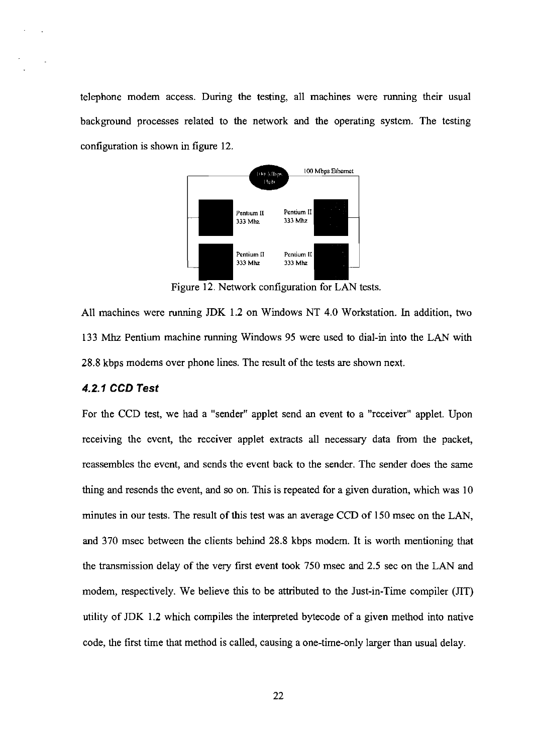telephone modem access. During the testing, all machines were running their usual background processes related to the network and the operating system. The testing configuration is shown in figure 12.



Figure 12. Network configuration for LAN tests

All machines were mnning JDK 1.2 on Windows NT 4.0 Workstation. In addition, two 133 Mhz Pentium machine mnning Windows 95 were used to dial-in into the LAN with 28.8 kbps rnodems over phone lines. The result of the tests are shown next.

#### 4.2.1 CCD Test

For the CCD test, we had a "sender" applet send an event to a "receiver" applet. Upon receiving the event, the receiver applet extracts all necessary data from the packet, reassembles the event, and sends the event back to the sender. The sender does the sarne hing and resends the event, and so On. This is repeated for a given duration, which was 10 minutes in our tests. The result of this test was an average CCD of 150 msec on the LAN, and 370 msec between the clients behind 28.8 kbps modern. It is worth mentioning that the transmission delay of the very first event took 750 msec and 2.5 sec on the LAN and modem, respectively. We believe this to be attributed to the Just-in-Time compiler (JIT) utility of JDK 1.2 which compiles the interpreted bytecode of a given method into native code, the first time that rnethod is called, causing a one-time-only larger than usual delay.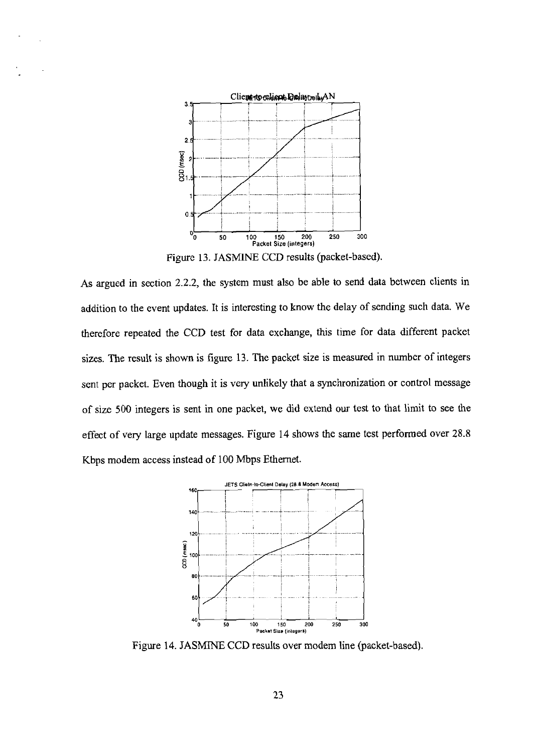

Figure 13. JASMINE CCD results (packet-based),

As argued in section 2.2.2, the system must also be able to send data between clients in addition to the event updates. It is interesting to know the delay of sending such data. We therefore repeated the CCD test for data exchange, this time for data different packet sizes. The result is shown is figure 13. The packet size is measured in number of integers sent per packet. Even though it is very unlikely that a synchronization or control message of size 500 integers is sent in one packet, we did extend our test to that limit to see the effect of very large update messages. Figure 14 shows the same test performed over 28.8 Kbps modern access instead of 100 Mbps Ethemet.

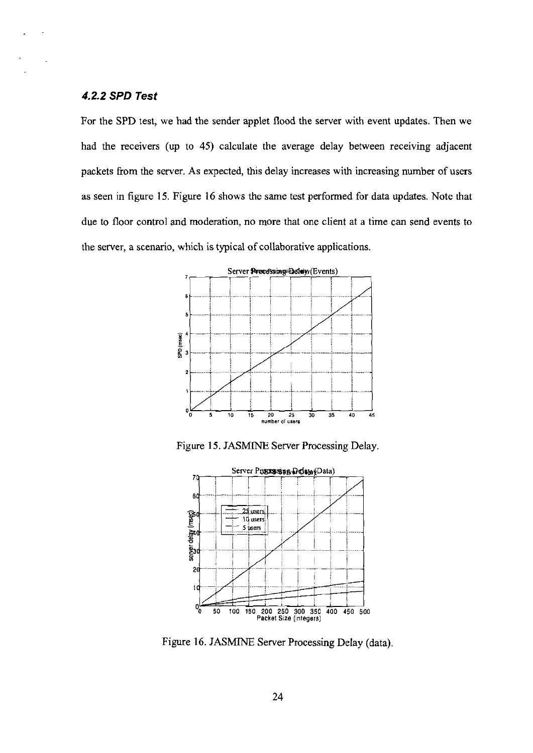### **4.2.2** SPD **Test**

For the SPD test, we had the sender applet flood the server with event updates. Then we had the receivers (up to  $45$ ) calculate the average delay between receiving adjacent packets from the server. As expected, this delay increases with increasing number of users as seen in figure 15. Figure 16 shows the same test performed for data updates. Note that due to floor control and moderation, no more that one client at a time can send events to the server, a scenario, which is typical of collaborative applications.



Figure 15. JASMINE Server Processing Delay.



Figure **16.** JASMINE Server Processing Delay (data).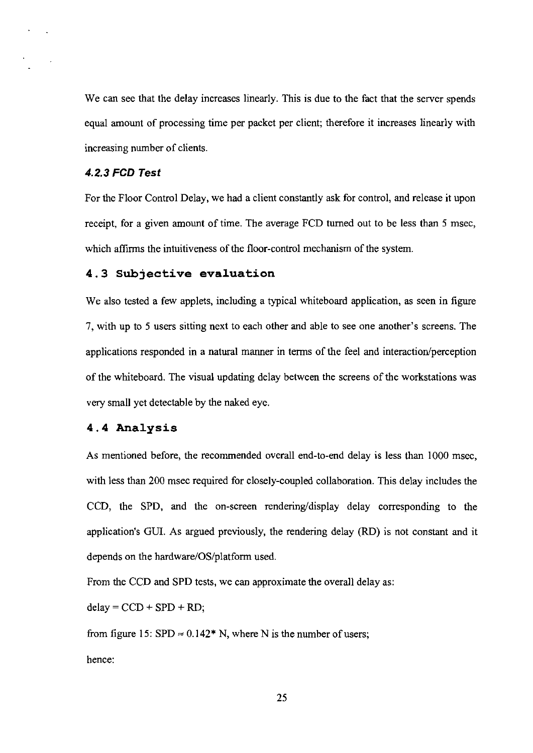We can see that the delay increases linearly. This is due to the fact that the server spends equal amount of processing time per packet per client; therefore it increases linearly with increasing number of clients.

#### 4.2.3 FCD **Test**

For the Floor Control Delay, we had a client constantly ask for control, and release it upon receipt, for a given amount of time. The average FCD turned out to be less than 5 msec, which affirms the intuitiveness of the floor-control mechanism of the system.

#### 4.3 **Subjective evaluation**

We also tested a few applets, including a typical whiteboard application, as seen in figure 7, with up to 5 users sitting next to each other and able to See one another's screens. The applications responded in a natural manner in terms of the feel and interaction/perception of the whiteboard. The visual updating delay between the screens of the workstations was **very** small yet detectable by the naked eye.

### 4.4 **Analysis**

As mentioned before, the recommended overall end-to-end delay is less than 1000 msec, with less than 200 msec required for closely-coupled collaboration. This delay includes the CCD, the SPD, and the on-screen rendering/display delay corresponding to the application's GUI. As argued previously, the rendering delay (RD) is not constant and it depends on the hardware/OS/platform used.

From the CCD and SPD tests, we can approximate the overall delay as:

 $delay = CCD + SPD + RD;$ 

from figure 15: SPD  $\approx 0.142$ <sup>\*</sup> N, where N is the number of users;

hence: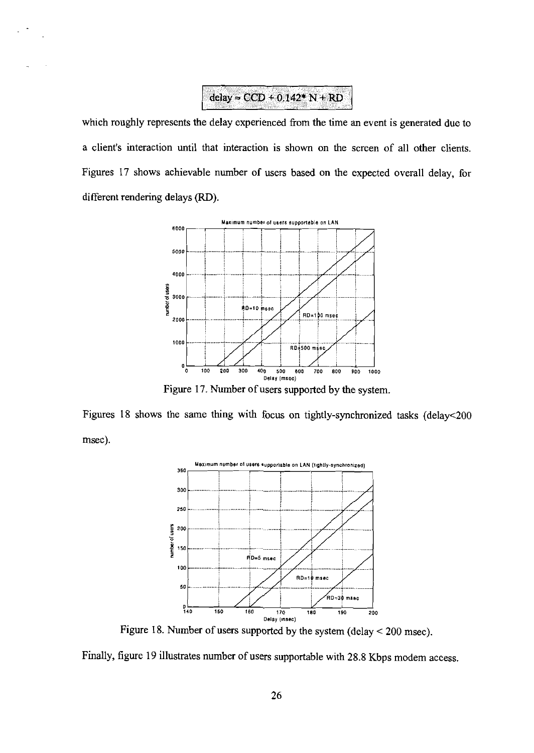

which roughly represents the delay experienced from the time an event is generated due to a client's interaction until that interaction is shown on the screen of all other clients. Figures 17 shows achievable nurnber of users based on the expected overall delay, for different rendering delays (RD).



Figure 17. Number of users supported by the system.

Figures 18 shows the same thing with focus on tightly-synchronized tasks (delay<200 msec).



Figure 18. Number of users supported by the system (delay < 200 msec).

Finally, figure 19 illustrates number of users supportable with 28.8 Kbps modem access.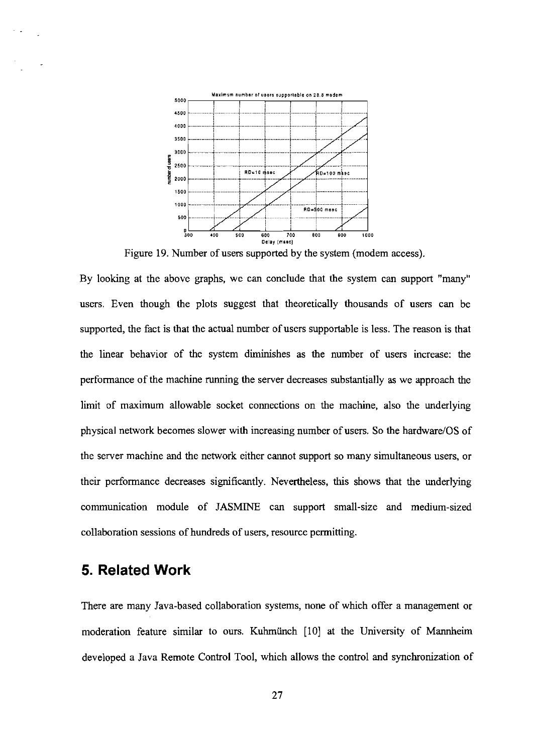

Figure 19. Number of users supported by the system (modem access).

By looking at the above graphs, we can conclude that the system can support "many" users. Even though the plots suggest that theoretically thousands of users can be supported, the fact is that the actual number of users supportable is less. The reason is that the linear behavior of the system diminishes as the number of users increase: the performance of the machine running the server decreases substantially **as** we approach the limit of maximum allowable socket connections on the machine, also the underlying physical network becomes slower with increasing number of users. So the hardware/OS of the server machine and the network either cannot support so many simultaneous users, or their performance decreases significantly. Nevertheless, this shows that the underlying communication module of JASMINE can support small-size and medium-sized collaboration sessions of hundreds of users, resource permitting.

## **5. Related Work**

There are many Java-based collaboration systems, none of which offer a management or moderation feature similat to ours. Kuhmünch [10] at the University of Mannheim developed a Java Remote Control Tool, which allows the control and synchronization of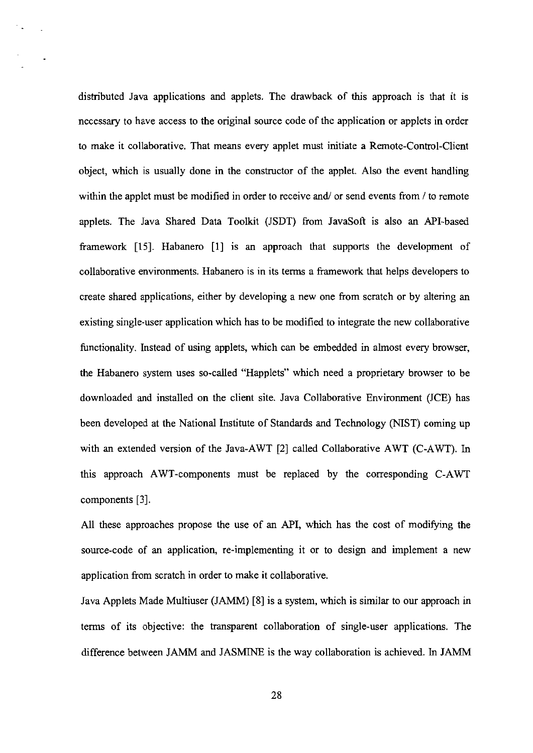components  $[3]$ . this approach AWT-components must be replaced by the corresponding C-AWT with an extended version of the Java-AWT [2] called Collaborative AWT (C-AWT). In been developed at the National Institute of Standards and Technology (NIST) coming up downloaded and installed on the client site. Java Collaborative Environment (JCE) has the Habanero system uses so-called "Happlets" which need a proprietary browser to be functionality. Instead of using applets, which can be embedded in almost every browser, existing single-user application which has to be modified to integrate the new collaborative create shared applications, either by developing a new one from scratch or by altering an collaborative environments. Habanero is in its terms a framework that helps developers to framework [15]. Habanero [1] is an approach that supports the development of applets. The Java Shared Data Toolkit (JSDT) from JavaSoft is also an API-based within the applet must be modified in order to receive and/ or send events from  $\prime$  to remote object, which is usually done in the constructor of the applet. Also the event handling to make it collaborative. That means every applet must initiate a Remote-Control-Client hecessary to have access to the original source code of the application or applets in order distributed Java applications and applets. The drawback of this approach is that it is

application from scratch in order to make it collaborative. source-code of an application, re-implementing it or to design and implement a new All these approaches propose the use of an API, which has the cost of modifying the

difference between JAMM and JASMINE is the way collaboration is achieved. In JAMM terms of its objective: the transparent collaboration of single-user applications. The Java Applets Made Multiuser (JAMM) [8] is a system, which is similar to our approach in

28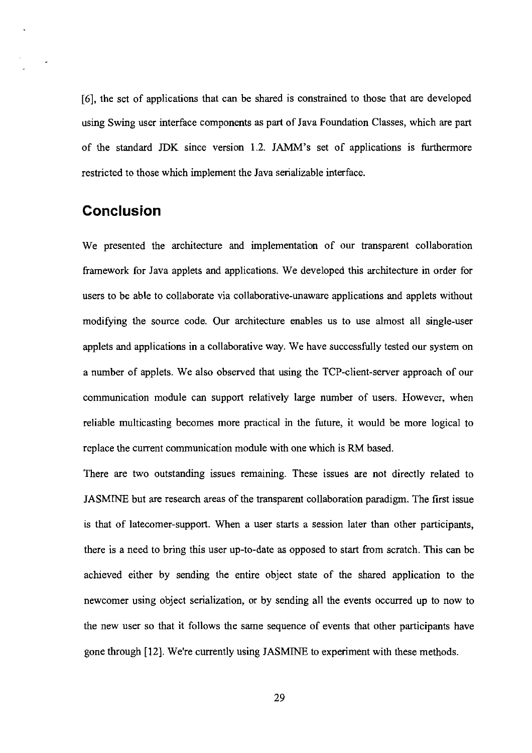*[6],* the set of applications that can be shared is constrained to those that are developed using Swing user interface components as part of Java Foundation Classes, which are part of the standard JDK since version 1.2. JAMM's set of applications is furthermore restricted to those which implement the Java serializable interface.

# **Conclusion**

We presented the architecture and implementation of our transparent collaboration frarnework for Java applets and applications. We developed this architecture in order for users to be able to collaborate via collaborative-unaware applications and applets without modifying the source code. Our architecture enables us to use almost all single-user applets and applications in a collaborative way. We have successfully tested our system on a number of applets. We also observed that using the TCP-client-server approach of our comrnunication module can suppori relatively large number of users. However, when reliable multicasting becomes more practical in the future, it would be more logical to replace the current comrnunication module with one which is RM based.

There are two outstanding issues remaining. These issues are not directly related to JASMINE but **are** research areas of the transparent collaboration paradigm. The first issue is that of latecomer-support. When a user starts a session later than other participants, there is a need to bring this User up-to-date **as** opposed to start from scratch. This can be acheved either by sending the entire object state of the shared application to the newcomer using object senalization, or by sending all the events occurred up to now to the new User so that it follows the same sequence of events that other participants have gone through [12]. We're currently using JASMINE to experiment with these methods.

29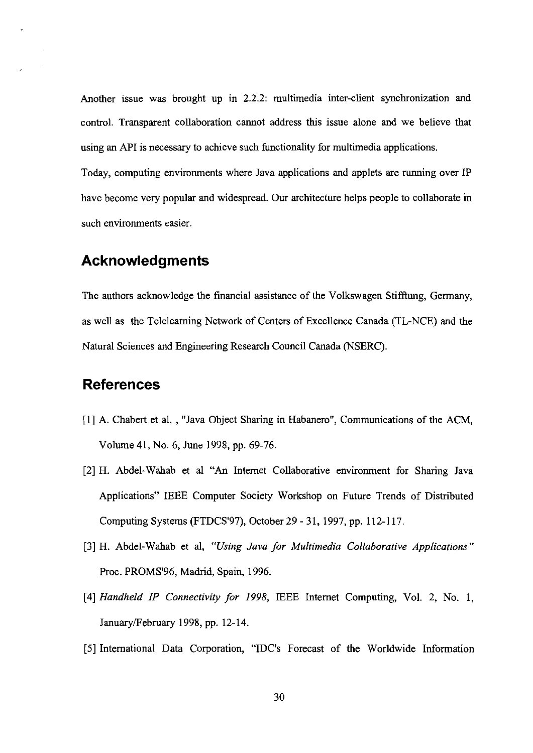Another issue was brought up in 2.2.2: multimedia inter-client synchronization and control. Transparent collaboration cannot address ths issue alone and we believe that using an API is necessary to achieve such functionality for multimedia applications.

Today, computing environments where Java applications and applets are running over IP have become very popular and widespread. Our architecture helps people to collaborate in such environments easier.

# **Acknowledgments**

The authors acknowledge the financial assistance of the Volkswagen Stifftung, Germany, as well as the Teleleaming Network of Centers of Excellence Canada (TL-NCE) and the Natural Sciences and Engineering Research Council Canada (NSERC).

# **References**

- [I] A. Chabert et al, , "Java Object Sharing in Habanero", Communications of the ACM, Volume 41, No. 6, June 1998, pp. 69-76.
- [2] H. Abdel-Wahab et al "An Internet Collaborative environment for Sharing Java Applications" IEEE Computer Society Workshop on Future Trends of Distributed Computing Systems (FTDCS'97), October 29 - 31, 1997, pp. 112-117.
- [3] H. Abdel-Wahab et al, *"Using Java Jor Multimedia Collaborative Applications* " Proc. PROMS'96, Madrid, Spain, 1996.
- [4] *Handheld* **ZP** *Connectivity for 1998,* IEEE Intemet Computing, Vol. 2, No. 1, January/February 1998, pp. 12-14.
- [SI International Data Corporation, "IDC's Forecast of the Worldwide Information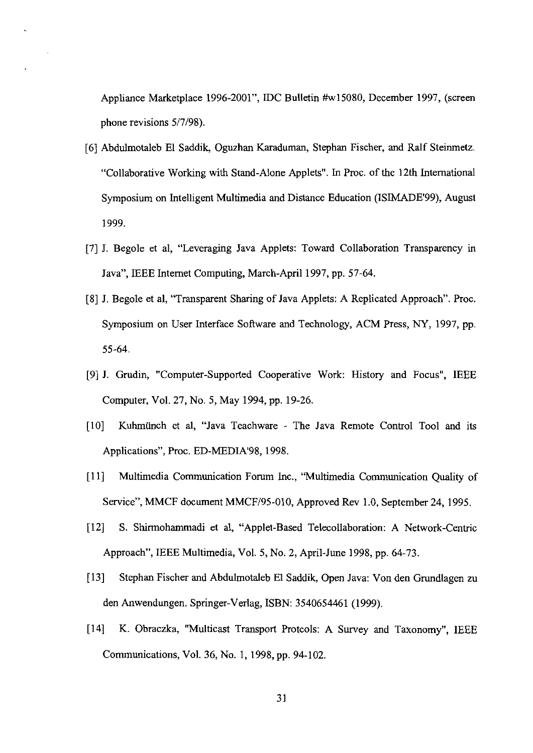Appliance Marketplace 1996-2001", IDC Bulletin #w15080, December 1997, (screen phone revisions 5/7/98).

- [6] Abdulmotaleb E1 Saddik, Oguzhan Karaduman, Stephan Fischer, and Ralf Steinmetz. "Collaborative Working with Stand-Alone Applets". In Proc. of the 12th International Symposium on Intelligent Multimedia and Distance Education (ISIMADE'99), August 1999.
- [7] J. Begole et al, "Leveraging Java Applets: Toward Collaboration Transparency in Java", IEEE Intemet Computing, March-April 1997, pp. 57-64.
- [SI J. Begole et al, "Transparent Sharing of Java Applets: A Replicated Approach". Proc. Symposium on User Interface Software and Technology, ACM Press, NY, 1997, pp. 55-64.
- [9] J. Grudin, "Computer-Supported Cooperative Work: History and Focus", IEEE Computer, Vol. 27, No. 5, May 1994, pp. 19-26.
- [10] Kuhmünch et **al,** "Java Teachware The Java Remote Control Tool and its Applications", Proc. ED-MEDIA'98, 1998.
- [11] Multimedia Communication Forum Inc., "Multimedia Communication Quality of Service", MMCF document MMCF/95-010, Approved Rev 1.0, September 24, 1995.
- [12] S. Shirmoharnmadi et **al,** "Applet-Based Telecollaboration: A Network-Centric Approach", IEEE Multimedia, Vol. 5, No. 2, April-June 1998, pp. 64-73.
- [13] Stephan Fischer and Abdulmotaleb E1 Saddik, Open Java: Von den Grundlagen zu den Anwendungen. Springer-Verlag, ISBN: 3540654461 (1999).
- [14] K. Obraczka, "Multicast Transport Protcols: **A** Survey and Taxonomy", IEEE Communications, Vol. 36, No. 1, 1998, pp. 94-102.